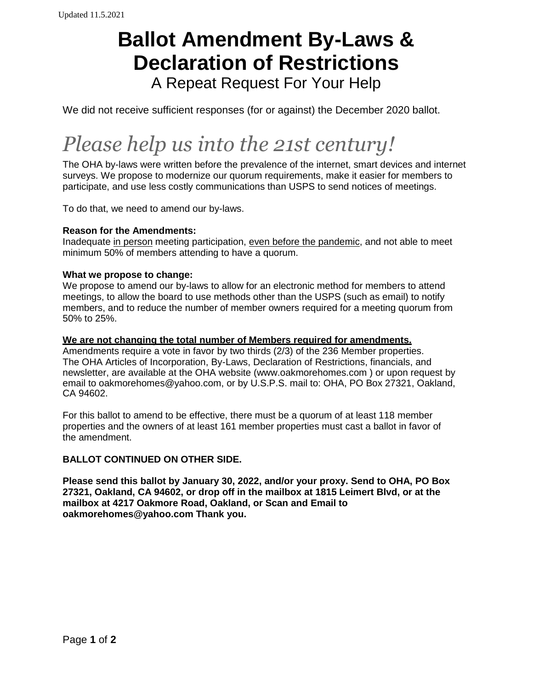# **Ballot Amendment By-Laws & Declaration of Restrictions**

A Repeat Request For Your Help

We did not receive sufficient responses (for or against) the December 2020 ballot.

# *Please help us into the 21st century!*

The OHA by-laws were written before the prevalence of the internet, smart devices and internet surveys. We propose to modernize our quorum requirements, make it easier for members to participate, and use less costly communications than USPS to send notices of meetings.

To do that, we need to amend our by-laws.

#### **Reason for the Amendments:**

Inadequate in person meeting participation, even before the pandemic, and not able to meet minimum 50% of members attending to have a quorum.

#### **What we propose to change:**

We propose to amend our by-laws to allow for an electronic method for members to attend meetings, to allow the board to use methods other than the USPS (such as email) to notify members, and to reduce the number of member owners required for a meeting quorum from 50% to 25%.

#### **We are not changing the total number of Members required for amendments.**

Amendments require a vote in favor by two thirds (2/3) of the 236 Member properties. The OHA Articles of Incorporation, By-Laws, Declaration of Restrictions, financials, and newsletter, are available at the OHA website (www.oakmorehomes.com ) or upon request by email to oakmorehomes@yahoo.com, or by U.S.P.S. mail to: OHA, PO Box 27321, Oakland, CA 94602.

For this ballot to amend to be effective, there must be a quorum of at least 118 member properties and the owners of at least 161 member properties must cast a ballot in favor of the amendment.

#### **BALLOT CONTINUED ON OTHER SIDE.**

**Please send this ballot by January 30, 2022, and/or your proxy. Send to OHA, PO Box 27321, Oakland, CA 94602, or drop off in the mailbox at 1815 Leimert Blvd, or at the mailbox at 4217 Oakmore Road, Oakland, or Scan and Email to oakmorehomes@yahoo.com Thank you.**